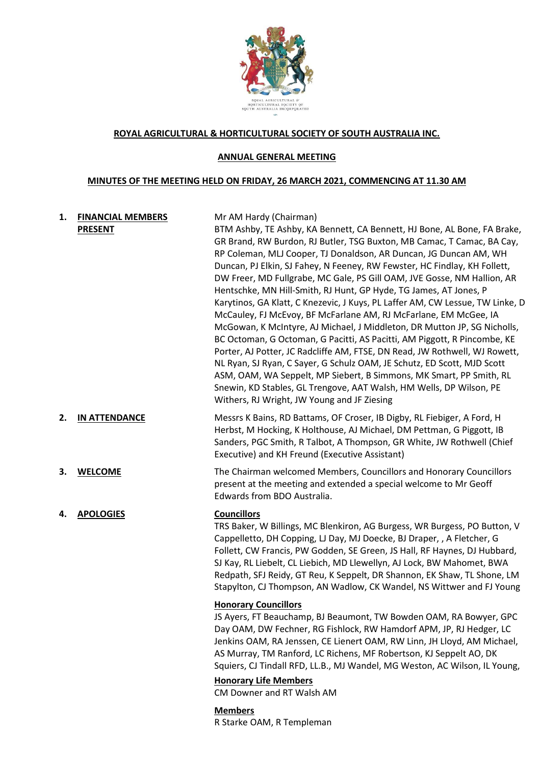

### **ROYAL AGRICULTURAL & HORTICULTURAL SOCIETY OF SOUTH AUSTRALIA INC.**

### **ANNUAL GENERAL MEETING**

### **MINUTES OF THE MEETING HELD ON FRIDAY, 26 MARCH 2021, COMMENCING AT 11.30 AM**

# **1. FINANCIAL MEMBERS PRESENT**

# Mr AM Hardy (Chairman)

BTM Ashby, TE Ashby, KA Bennett, CA Bennett, HJ Bone, AL Bone, FA Brake, GR Brand, RW Burdon, RJ Butler, TSG Buxton, MB Camac, T Camac, BA Cay, RP Coleman, MLJ Cooper, TJ Donaldson, AR Duncan, JG Duncan AM, WH Duncan, PJ Elkin, SJ Fahey, N Feeney, RW Fewster, HC Findlay, KH Follett, DW Freer, MD Fullgrabe, MC Gale, PS Gill OAM, JVE Gosse, NM Hallion, AR Hentschke, MN Hill-Smith, RJ Hunt, GP Hyde, TG James, AT Jones, P Karytinos, GA Klatt, C Knezevic, J Kuys, PL Laffer AM, CW Lessue, TW Linke, D McCauley, FJ McEvoy, BF McFarlane AM, RJ McFarlane, EM McGee, IA McGowan, K McIntyre, AJ Michael, J Middleton, DR Mutton JP, SG Nicholls, BC Octoman, G Octoman, G Pacitti, AS Pacitti, AM Piggott, R Pincombe, KE Porter, AJ Potter, JC Radcliffe AM, FTSE, DN Read, JW Rothwell, WJ Rowett, NL Ryan, SJ Ryan, C Sayer, G Schulz OAM, JE Schutz, ED Scott, MJD Scott ASM, OAM, WA Seppelt, MP Siebert, B Simmons, MK Smart, PP Smith, RL Snewin, KD Stables, GL Trengove, AAT Walsh, HM Wells, DP Wilson, PE Withers, RJ Wright, JW Young and JF Ziesing

- **2. IN ATTENDANCE** Messrs K Bains, RD Battams, OF Croser, IB Digby, RL Fiebiger, A Ford, H Herbst, M Hocking, K Holthouse, AJ Michael, DM Pettman, G Piggott, IB Sanders, PGC Smith, R Talbot, A Thompson, GR White, JW Rothwell (Chief Executive) and KH Freund (Executive Assistant)
- **3. WELCOME** The Chairman welcomed Members, Councillors and Honorary Councillors present at the meeting and extended a special welcome to Mr Geoff Edwards from BDO Australia.

# **4. APOLOGIES Councillors**

TRS Baker, W Billings, MC Blenkiron, AG Burgess, WR Burgess, PO Button, V Cappelletto, DH Copping, LJ Day, MJ Doecke, BJ Draper, , A Fletcher, G Follett, CW Francis, PW Godden, SE Green, JS Hall, RF Haynes, DJ Hubbard, SJ Kay, RL Liebelt, CL Liebich, MD Llewellyn, AJ Lock, BW Mahomet, BWA Redpath, SFJ Reidy, GT Reu, K Seppelt, DR Shannon, EK Shaw, TL Shone, LM Stapylton, CJ Thompson, AN Wadlow, CK Wandel, NS Wittwer and FJ Young

# **Honorary Councillors**

JS Ayers, FT Beauchamp, BJ Beaumont, TW Bowden OAM, RA Bowyer, GPC Day OAM, DW Fechner, RG Fishlock, RW Hamdorf APM, JP, RJ Hedger, LC Jenkins OAM, RA Jenssen, CE Lienert OAM, RW Linn, JH Lloyd, AM Michael, AS Murray, TM Ranford, LC Richens, MF Robertson, KJ Seppelt AO, DK Squiers, CJ Tindall RFD, LL.B., MJ Wandel, MG Weston, AC Wilson, IL Young,

# **Honorary Life Members**

CM Downer and RT Walsh AM

# **Members**

R Starke OAM, R Templeman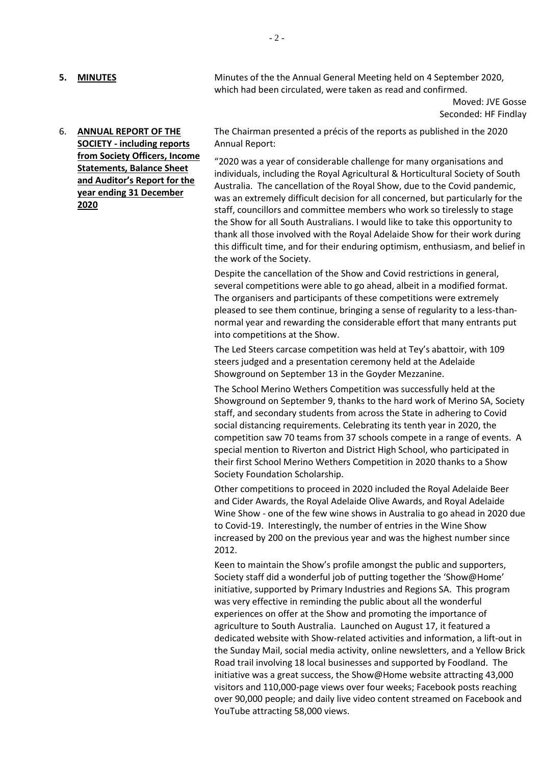**5. MINUTES** Minutes of the the Annual General Meeting held on 4 September 2020. which had been circulated, were taken as read and confirmed.

> Moved: JVE Gosse Seconded: HF Findlay

6. **ANNUAL REPORT OF THE SOCIETY - including reports from Society Officers, Income Statements, Balance Sheet and Auditor's Report for the year ending 31 December 2020**

The Chairman presented a précis of the reports as published in the 2020 Annual Report:

"2020 was a year of considerable challenge for many organisations and individuals, including the Royal Agricultural & Horticultural Society of South Australia. The cancellation of the Royal Show, due to the Covid pandemic, was an extremely difficult decision for all concerned, but particularly for the staff, councillors and committee members who work so tirelessly to stage the Show for all South Australians. I would like to take this opportunity to thank all those involved with the Royal Adelaide Show for their work during this difficult time, and for their enduring optimism, enthusiasm, and belief in the work of the Society.

Despite the cancellation of the Show and Covid restrictions in general, several competitions were able to go ahead, albeit in a modified format. The organisers and participants of these competitions were extremely pleased to see them continue, bringing a sense of regularity to a less-thannormal year and rewarding the considerable effort that many entrants put into competitions at the Show.

The Led Steers carcase competition was held at Tey's abattoir, with 109 steers judged and a presentation ceremony held at the Adelaide Showground on September 13 in the Goyder Mezzanine.

The School Merino Wethers Competition was successfully held at the Showground on September 9, thanks to the hard work of Merino SA, Society staff, and secondary students from across the State in adhering to Covid social distancing requirements. Celebrating its tenth year in 2020, the competition saw 70 teams from 37 schools compete in a range of events. A special mention to Riverton and District High School, who participated in their first School Merino Wethers Competition in 2020 thanks to a Show Society Foundation Scholarship.

Other competitions to proceed in 2020 included the Royal Adelaide Beer and Cider Awards, the Royal Adelaide Olive Awards, and Royal Adelaide Wine Show - one of the few wine shows in Australia to go ahead in 2020 due to Covid-19. Interestingly, the number of entries in the Wine Show increased by 200 on the previous year and was the highest number since 2012.

Keen to maintain the Show's profile amongst the public and supporters, Society staff did a wonderful job of putting together the 'Show@Home' initiative, supported by Primary Industries and Regions SA. This program was very effective in reminding the public about all the wonderful experiences on offer at the Show and promoting the importance of agriculture to South Australia. Launched on August 17, it featured a dedicated website with Show-related activities and information, a lift-out in the Sunday Mail, social media activity, online newsletters, and a Yellow Brick Road trail involving 18 local businesses and supported by Foodland. The initiative was a great success, the Show@Home website attracting 43,000 visitors and 110,000-page views over four weeks; Facebook posts reaching over 90,000 people; and daily live video content streamed on Facebook and YouTube attracting 58,000 views.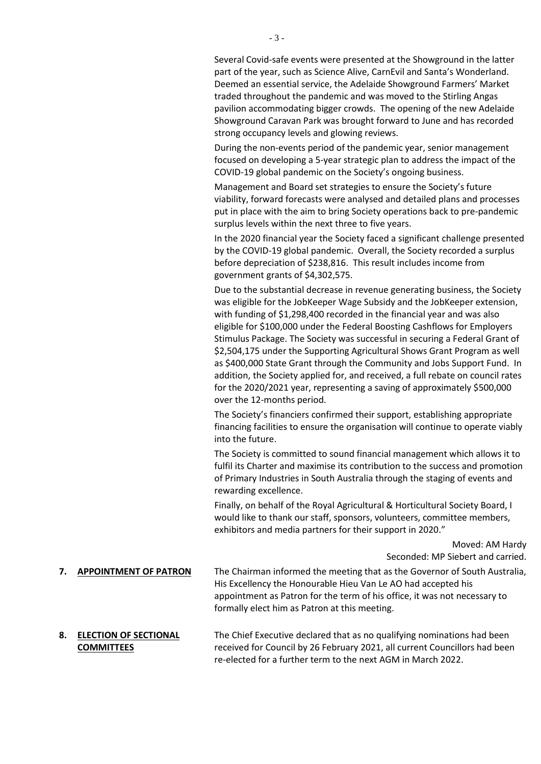Several Covid-safe events were presented at the Showground in the latter part of the year, such as Science Alive, CarnEvil and Santa's Wonderland. Deemed an essential service, the Adelaide Showground Farmers' Market traded throughout the pandemic and was moved to the Stirling Angas pavilion accommodating bigger crowds. The opening of the new Adelaide Showground Caravan Park was brought forward to June and has recorded strong occupancy levels and glowing reviews.

During the non-events period of the pandemic year, senior management focused on developing a 5-year strategic plan to address the impact of the COVID-19 global pandemic on the Society's ongoing business.

Management and Board set strategies to ensure the Society's future viability, forward forecasts were analysed and detailed plans and processes put in place with the aim to bring Society operations back to pre-pandemic surplus levels within the next three to five years.

In the 2020 financial year the Society faced a significant challenge presented by the COVID-19 global pandemic. Overall, the Society recorded a surplus before depreciation of \$238,816. This result includes income from government grants of \$4,302,575.

Due to the substantial decrease in revenue generating business, the Society was eligible for the JobKeeper Wage Subsidy and the JobKeeper extension, with funding of \$1,298,400 recorded in the financial year and was also eligible for \$100,000 under the Federal Boosting Cashflows for Employers Stimulus Package. The Society was successful in securing a Federal Grant of \$2,504,175 under the Supporting Agricultural Shows Grant Program as well as \$400,000 State Grant through the Community and Jobs Support Fund. In addition, the Society applied for, and received, a full rebate on council rates for the 2020/2021 year, representing a saving of approximately \$500,000 over the 12-months period.

The Society's financiers confirmed their support, establishing appropriate financing facilities to ensure the organisation will continue to operate viably into the future.

The Society is committed to sound financial management which allows it to fulfil its Charter and maximise its contribution to the success and promotion of Primary Industries in South Australia through the staging of events and rewarding excellence.

Finally, on behalf of the Royal Agricultural & Horticultural Society Board, I would like to thank our staff, sponsors, volunteers, committee members, exhibitors and media partners for their support in 2020."

> Moved: AM Hardy Seconded: MP Siebert and carried.

**7. APPOINTMENT OF PATRON** The Chairman informed the meeting that as the Governor of South Australia, His Excellency the Honourable Hieu Van Le AO had accepted his appointment as Patron for the term of his office, it was not necessary to formally elect him as Patron at this meeting.

**8. ELECTION OF SECTIONAL COMMITTEES** The Chief Executive declared that as no qualifying nominations had been received for Council by 26 February 2021, all current Councillors had been re-elected for a further term to the next AGM in March 2022.